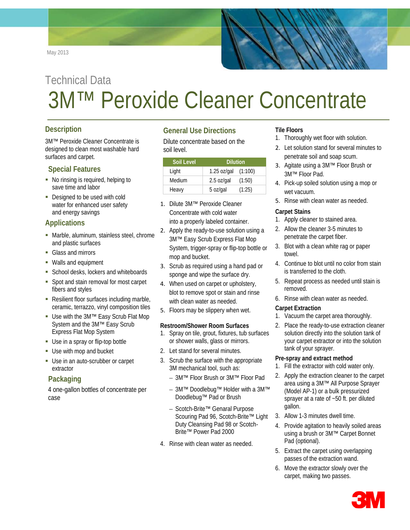May 2013

# Technical Data 3M™ Peroxide Cleaner Concentrate

## **Description**

3M™ Peroxide Cleaner Concentrate is designed to clean most washable hard surfaces and carpet.

## **Special Features**

- No rinsing is required, helping to save time and labor
- Designed to be used with cold water for enhanced user safety and energy savings

## **Applications**

- Marble, aluminum, stainless steel, chrome and plastic surfaces
- Glass and mirrors
- Walls and equipment
- School desks, lockers and whiteboards
- Spot and stain removal for most carpet fibers and styles
- Resilient floor surfaces including marble, ceramic, terrazzo, vinyl composition tiles
- Use with the 3M™ Easy Scrub Flat Mop System and the 3M™ Easy Scrub Express Flat Mop System
- Use in a spray or flip-top bottle
- Use with mop and bucket
- Use in an auto-scrubber or carpet extractor

## **Packaging**

4 one-gallon bottles of concentrate per case

## **General Use Directions**

Dilute concentrate based on the soil level.

| Soil Level | <b>Dilution</b>       |        |
|------------|-----------------------|--------|
| Light      | 1.25 oz/gal $(1:100)$ |        |
| Medium     | $2.5$ oz/gal          | (1:50) |
| Heavy      | 5 oz/gal              | (1:25) |

- 1. Dilute 3M™ Peroxide Cleaner Concentrate with cold water into a properly labeled container.
- 2. Apply the ready-to-use solution using a 3M™ Easy Scrub Express Flat Mop System, trigger-spray or flip-top bottle or mop and bucket.
- 3. Scrub as required using a hand pad or sponge and wipe the surface dry.
- 4. When used on carpet or upholstery, blot to remove spot or stain and rinse with clean water as needed.
- 5. Floors may be slippery when wet.

#### **Restroom/Shower Room Surfaces**

- 1. Spray on tile, grout, fixtures, tub surfaces or shower walls, glass or mirrors.
- 2. Let stand for several minutes.
- 3. Scrub the surface with the appropriate 3M mechanical tool, such as:
	- 3M™ Floor Brush or 3M™ Floor Pad
	- 3M™ Doodlebug™ Holder with a 3M™ Doodlebug™ Pad or Brush
	- Scotch-Brite™ Genaral Purpose Scouring Pad 96, Scotch-Brite™ Light Duty Cleansing Pad 98 or Scotch-Brite™ Power Pad 2000
- 4. Rinse with clean water as needed.

## **Tile Floors**

- 1. Thoroughly wet floor with solution.
- 2. Let solution stand for several minutes to penetrate soil and soap scum.
- 3. Agitate using a 3M™ Floor Brush or 3M™ Floor Pad.
- 4. Pick-up soiled solution using a mop or wet vacuum.
- 5. Rinse with clean water as needed.

#### **Carpet Stains**

- 1. Apply cleaner to stained area.
- 2. Allow the cleaner 3-5 minutes to penetrate the carpet fiber.
- 3. Blot with a clean white rag or paper towel.
- 4. Continue to blot until no color from stain is transferred to the cloth.
- 5. Repeat process as needed until stain is removed.
- 6. Rinse with clean water as needed.

#### **Carpet Extraction**

- 1. Vacuum the carpet area thoroughly.
- 2. Place the ready-to-use extraction cleaner solution directly into the solution tank of your carpet extractor or into the solution tank of your sprayer.

#### **Pre-spray and extract method**

- 1. Fill the extractor with cold water only.
- 2. Apply the extraction cleaner to the carpet area using a 3M™ All Purpose Sprayer (Model AP-1) or a bulk pressurized sprayer at a rate of ~50 ft. per diluted gallon.
- 3. Allow 1-3 minutes dwell time.
- 4. Provide agitation to heavily soiled areas using a brush or 3M™ Carpet Bonnet Pad (optional).
- 5. Extract the carpet using overlapping passes of the extraction wand.
- 6. Move the extractor slowly over the carpet, making two passes.